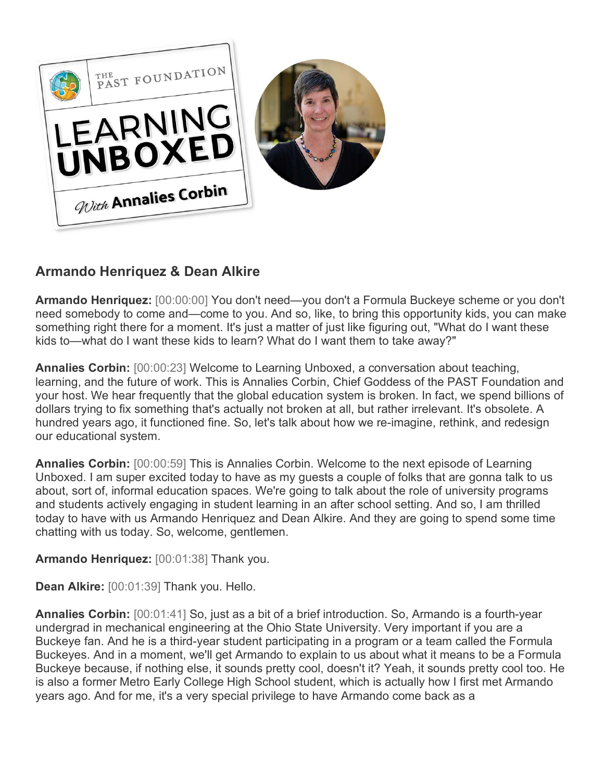

## **Armando Henriquez & Dean Alkire**

**Armando Henriquez:** [00:00:00] You don't need—you don't a Formula Buckeye scheme or you don't need somebody to come and—come to you. And so, like, to bring this opportunity kids, you can make something right there for a moment. It's just a matter of just like figuring out, "What do I want these kids to—what do I want these kids to learn? What do I want them to take away?"

**Annalies Corbin:** [00:00:23] Welcome to Learning Unboxed, a conversation about teaching, learning, and the future of work. This is Annalies Corbin, Chief Goddess of the PAST Foundation and your host. We hear frequently that the global education system is broken. In fact, we spend billions of dollars trying to fix something that's actually not broken at all, but rather irrelevant. It's obsolete. A hundred years ago, it functioned fine. So, let's talk about how we re-imagine, rethink, and redesign our educational system.

**Annalies Corbin:** [00:00:59] This is Annalies Corbin. Welcome to the next episode of Learning Unboxed. I am super excited today to have as my guests a couple of folks that are gonna talk to us about, sort of, informal education spaces. We're going to talk about the role of university programs and students actively engaging in student learning in an after school setting. And so, I am thrilled today to have with us Armando Henriquez and Dean Alkire. And they are going to spend some time chatting with us today. So, welcome, gentlemen.

**Armando Henriquez:** [00:01:38] Thank you.

**Dean Alkire:** [00:01:39] Thank you. Hello.

**Annalies Corbin:** [00:01:41] So, just as a bit of a brief introduction. So, Armando is a fourth-year undergrad in mechanical engineering at the Ohio State University. Very important if you are a Buckeye fan. And he is a third-year student participating in a program or a team called the Formula Buckeyes. And in a moment, we'll get Armando to explain to us about what it means to be a Formula Buckeye because, if nothing else, it sounds pretty cool, doesn't it? Yeah, it sounds pretty cool too. He is also a former Metro Early College High School student, which is actually how I first met Armando years ago. And for me, it's a very special privilege to have Armando come back as a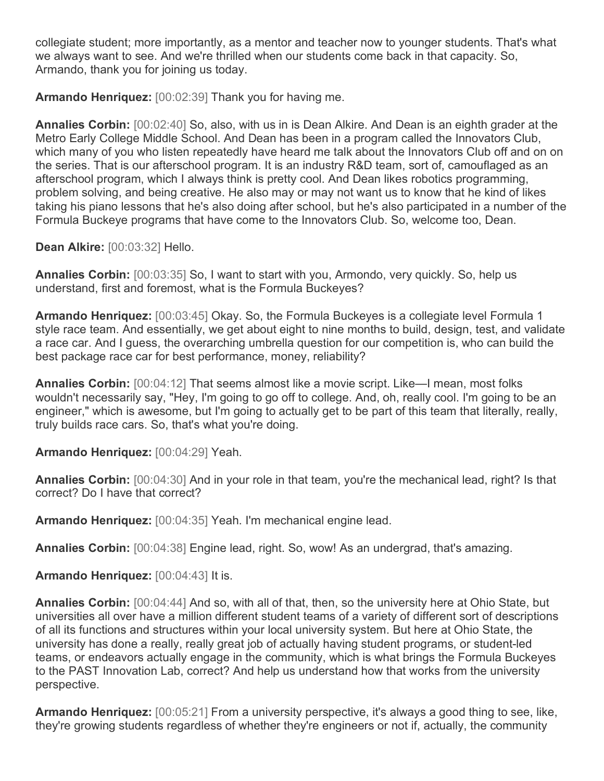collegiate student; more importantly, as a mentor and teacher now to younger students. That's what we always want to see. And we're thrilled when our students come back in that capacity. So, Armando, thank you for joining us today.

**Armando Henriquez:** [00:02:39] Thank you for having me.

**Annalies Corbin:** [00:02:40] So, also, with us in is Dean Alkire. And Dean is an eighth grader at the Metro Early College Middle School. And Dean has been in a program called the Innovators Club, which many of you who listen repeatedly have heard me talk about the Innovators Club off and on on the series. That is our afterschool program. It is an industry R&D team, sort of, camouflaged as an afterschool program, which I always think is pretty cool. And Dean likes robotics programming, problem solving, and being creative. He also may or may not want us to know that he kind of likes taking his piano lessons that he's also doing after school, but he's also participated in a number of the Formula Buckeye programs that have come to the Innovators Club. So, welcome too, Dean.

**Dean Alkire:** [00:03:32] Hello.

**Annalies Corbin:** [00:03:35] So, I want to start with you, Armondo, very quickly. So, help us understand, first and foremost, what is the Formula Buckeyes?

**Armando Henriquez:** [00:03:45] Okay. So, the Formula Buckeyes is a collegiate level Formula 1 style race team. And essentially, we get about eight to nine months to build, design, test, and validate a race car. And I guess, the overarching umbrella question for our competition is, who can build the best package race car for best performance, money, reliability?

**Annalies Corbin:** [00:04:12] That seems almost like a movie script. Like—I mean, most folks wouldn't necessarily say, "Hey, I'm going to go off to college. And, oh, really cool. I'm going to be an engineer," which is awesome, but I'm going to actually get to be part of this team that literally, really, truly builds race cars. So, that's what you're doing.

**Armando Henriquez:** [00:04:29] Yeah.

**Annalies Corbin:** [00:04:30] And in your role in that team, you're the mechanical lead, right? Is that correct? Do I have that correct?

**Armando Henriquez:** [00:04:35] Yeah. I'm mechanical engine lead.

**Annalies Corbin:** [00:04:38] Engine lead, right. So, wow! As an undergrad, that's amazing.

**Armando Henriquez:** [00:04:43] It is.

**Annalies Corbin:** [00:04:44] And so, with all of that, then, so the university here at Ohio State, but universities all over have a million different student teams of a variety of different sort of descriptions of all its functions and structures within your local university system. But here at Ohio State, the university has done a really, really great job of actually having student programs, or student-led teams, or endeavors actually engage in the community, which is what brings the Formula Buckeyes to the PAST Innovation Lab, correct? And help us understand how that works from the university perspective.

**Armando Henriquez:** [00:05:21] From a university perspective, it's always a good thing to see, like, they're growing students regardless of whether they're engineers or not if, actually, the community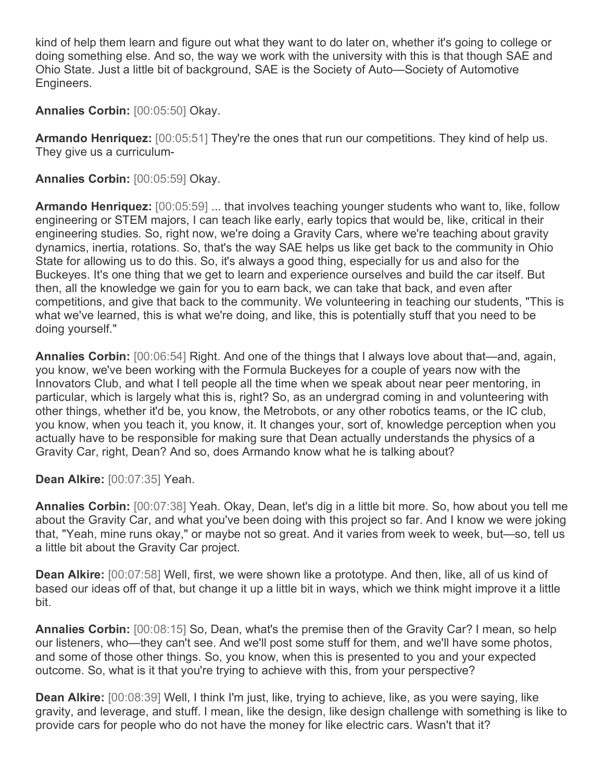kind of help them learn and figure out what they want to do later on, whether it's going to college or doing something else. And so, the way we work with the university with this is that though SAE and Ohio State. Just a little bit of background, SAE is the Society of Auto—Society of Automotive Engineers.

**Annalies Corbin:** [00:05:50] Okay.

**Armando Henriquez:** [00:05:51] They're the ones that run our competitions. They kind of help us. They give us a curriculum-

**Annalies Corbin:** [00:05:59] Okay.

**Armando Henriquez:** [00:05:59] ... that involves teaching younger students who want to, like, follow engineering or STEM majors, I can teach like early, early topics that would be, like, critical in their engineering studies. So, right now, we're doing a Gravity Cars, where we're teaching about gravity dynamics, inertia, rotations. So, that's the way SAE helps us like get back to the community in Ohio State for allowing us to do this. So, it's always a good thing, especially for us and also for the Buckeyes. It's one thing that we get to learn and experience ourselves and build the car itself. But then, all the knowledge we gain for you to earn back, we can take that back, and even after competitions, and give that back to the community. We volunteering in teaching our students, "This is what we've learned, this is what we're doing, and like, this is potentially stuff that you need to be doing yourself."

**Annalies Corbin:** [00:06:54] Right. And one of the things that I always love about that—and, again, you know, we've been working with the Formula Buckeyes for a couple of years now with the Innovators Club, and what I tell people all the time when we speak about near peer mentoring, in particular, which is largely what this is, right? So, as an undergrad coming in and volunteering with other things, whether it'd be, you know, the Metrobots, or any other robotics teams, or the IC club, you know, when you teach it, you know, it. It changes your, sort of, knowledge perception when you actually have to be responsible for making sure that Dean actually understands the physics of a Gravity Car, right, Dean? And so, does Armando know what he is talking about?

**Dean Alkire:** [00:07:35] Yeah.

**Annalies Corbin:** [00:07:38] Yeah. Okay, Dean, let's dig in a little bit more. So, how about you tell me about the Gravity Car, and what you've been doing with this project so far. And I know we were joking that, "Yeah, mine runs okay," or maybe not so great. And it varies from week to week, but—so, tell us a little bit about the Gravity Car project.

**Dean Alkire:** [00:07:58] Well, first, we were shown like a prototype. And then, like, all of us kind of based our ideas off of that, but change it up a little bit in ways, which we think might improve it a little bit.

**Annalies Corbin:** [00:08:15] So, Dean, what's the premise then of the Gravity Car? I mean, so help our listeners, who—they can't see. And we'll post some stuff for them, and we'll have some photos, and some of those other things. So, you know, when this is presented to you and your expected outcome. So, what is it that you're trying to achieve with this, from your perspective?

**Dean Alkire:** [00:08:39] Well, I think I'm just, like, trying to achieve, like, as you were saying, like gravity, and leverage, and stuff. I mean, like the design, like design challenge with something is like to provide cars for people who do not have the money for like electric cars. Wasn't that it?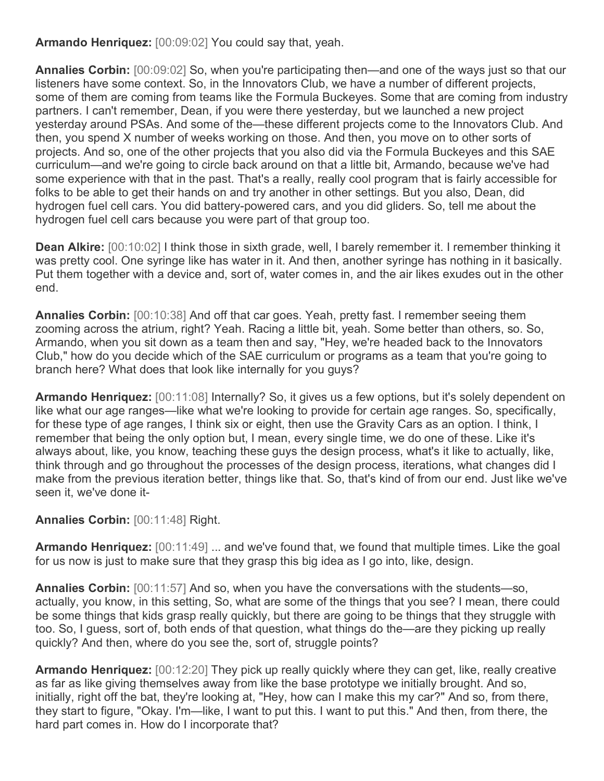**Armando Henriquez:** [00:09:02] You could say that, yeah.

**Annalies Corbin:** [00:09:02] So, when you're participating then—and one of the ways just so that our listeners have some context. So, in the Innovators Club, we have a number of different projects, some of them are coming from teams like the Formula Buckeyes. Some that are coming from industry partners. I can't remember, Dean, if you were there yesterday, but we launched a new project yesterday around PSAs. And some of the—these different projects come to the Innovators Club. And then, you spend X number of weeks working on those. And then, you move on to other sorts of projects. And so, one of the other projects that you also did via the Formula Buckeyes and this SAE curriculum—and we're going to circle back around on that a little bit, Armando, because we've had some experience with that in the past. That's a really, really cool program that is fairly accessible for folks to be able to get their hands on and try another in other settings. But you also, Dean, did hydrogen fuel cell cars. You did battery-powered cars, and you did gliders. So, tell me about the hydrogen fuel cell cars because you were part of that group too.

**Dean Alkire:** [00:10:02] I think those in sixth grade, well, I barely remember it. I remember thinking it was pretty cool. One syringe like has water in it. And then, another syringe has nothing in it basically. Put them together with a device and, sort of, water comes in, and the air likes exudes out in the other end.

**Annalies Corbin:** [00:10:38] And off that car goes. Yeah, pretty fast. I remember seeing them zooming across the atrium, right? Yeah. Racing a little bit, yeah. Some better than others, so. So, Armando, when you sit down as a team then and say, "Hey, we're headed back to the Innovators Club," how do you decide which of the SAE curriculum or programs as a team that you're going to branch here? What does that look like internally for you guys?

**Armando Henriquez:** [00:11:08] Internally? So, it gives us a few options, but it's solely dependent on like what our age ranges—like what we're looking to provide for certain age ranges. So, specifically, for these type of age ranges, I think six or eight, then use the Gravity Cars as an option. I think, I remember that being the only option but, I mean, every single time, we do one of these. Like it's always about, like, you know, teaching these guys the design process, what's it like to actually, like, think through and go throughout the processes of the design process, iterations, what changes did I make from the previous iteration better, things like that. So, that's kind of from our end. Just like we've seen it, we've done it-

## **Annalies Corbin:** [00:11:48] Right.

**Armando Henriquez:** [00:11:49] ... and we've found that, we found that multiple times. Like the goal for us now is just to make sure that they grasp this big idea as I go into, like, design.

**Annalies Corbin:** [00:11:57] And so, when you have the conversations with the students—so, actually, you know, in this setting, So, what are some of the things that you see? I mean, there could be some things that kids grasp really quickly, but there are going to be things that they struggle with too. So, I guess, sort of, both ends of that question, what things do the—are they picking up really quickly? And then, where do you see the, sort of, struggle points?

**Armando Henriquez:** [00:12:20] They pick up really quickly where they can get, like, really creative as far as like giving themselves away from like the base prototype we initially brought. And so, initially, right off the bat, they're looking at, "Hey, how can I make this my car?" And so, from there, they start to figure, "Okay. I'm—like, I want to put this. I want to put this." And then, from there, the hard part comes in. How do I incorporate that?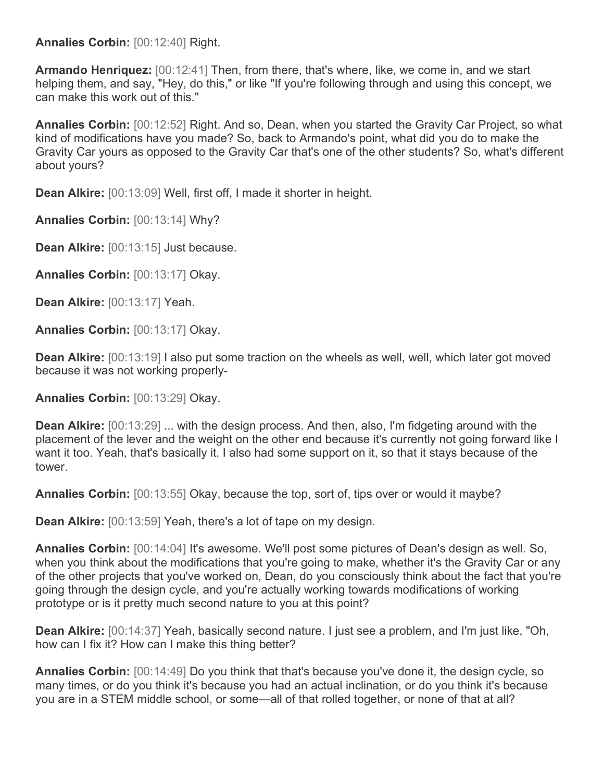## **Annalies Corbin:** [00:12:40] Right.

**Armando Henriquez:** [00:12:41] Then, from there, that's where, like, we come in, and we start helping them, and say, "Hey, do this," or like "If you're following through and using this concept, we can make this work out of this."

**Annalies Corbin:** [00:12:52] Right. And so, Dean, when you started the Gravity Car Project, so what kind of modifications have you made? So, back to Armando's point, what did you do to make the Gravity Car yours as opposed to the Gravity Car that's one of the other students? So, what's different about yours?

**Dean Alkire:** [00:13:09] Well, first off, I made it shorter in height.

**Annalies Corbin:** [00:13:14] Why?

**Dean Alkire:** [00:13:15] Just because.

**Annalies Corbin:** [00:13:17] Okay.

**Dean Alkire:** [00:13:17] Yeah.

**Annalies Corbin:** [00:13:17] Okay.

**Dean Alkire:** [00:13:19] I also put some traction on the wheels as well, well, which later got moved because it was not working properly-

**Annalies Corbin:** [00:13:29] Okay.

**Dean Alkire:** [00:13:29] ... with the design process. And then, also, I'm fidgeting around with the placement of the lever and the weight on the other end because it's currently not going forward like I want it too. Yeah, that's basically it. I also had some support on it, so that it stays because of the tower.

**Annalies Corbin:** [00:13:55] Okay, because the top, sort of, tips over or would it maybe?

**Dean Alkire:** [00:13:59] Yeah, there's a lot of tape on my design.

**Annalies Corbin:** [00:14:04] It's awesome. We'll post some pictures of Dean's design as well. So, when you think about the modifications that you're going to make, whether it's the Gravity Car or any of the other projects that you've worked on, Dean, do you consciously think about the fact that you're going through the design cycle, and you're actually working towards modifications of working prototype or is it pretty much second nature to you at this point?

**Dean Alkire:** [00:14:37] Yeah, basically second nature. I just see a problem, and I'm just like, "Oh, how can I fix it? How can I make this thing better?

**Annalies Corbin:** [00:14:49] Do you think that that's because you've done it, the design cycle, so many times, or do you think it's because you had an actual inclination, or do you think it's because you are in a STEM middle school, or some—all of that rolled together, or none of that at all?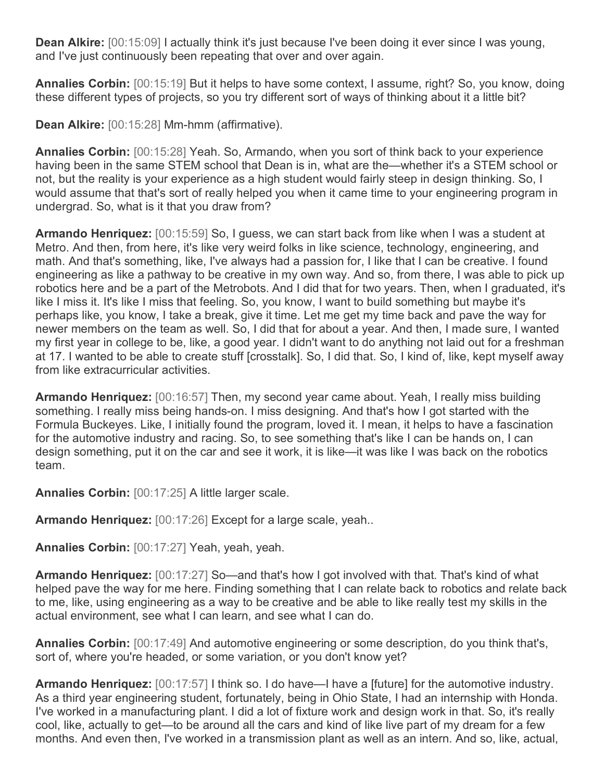**Dean Alkire:** [00:15:09] I actually think it's just because I've been doing it ever since I was young, and I've just continuously been repeating that over and over again.

**Annalies Corbin:** [00:15:19] But it helps to have some context, I assume, right? So, you know, doing these different types of projects, so you try different sort of ways of thinking about it a little bit?

**Dean Alkire:** [00:15:28] Mm-hmm (affirmative).

**Annalies Corbin:** [00:15:28] Yeah. So, Armando, when you sort of think back to your experience having been in the same STEM school that Dean is in, what are the—whether it's a STEM school or not, but the reality is your experience as a high student would fairly steep in design thinking. So, I would assume that that's sort of really helped you when it came time to your engineering program in undergrad. So, what is it that you draw from?

**Armando Henriquez:** [00:15:59] So, I guess, we can start back from like when I was a student at Metro. And then, from here, it's like very weird folks in like science, technology, engineering, and math. And that's something, like, I've always had a passion for, I like that I can be creative. I found engineering as like a pathway to be creative in my own way. And so, from there, I was able to pick up robotics here and be a part of the Metrobots. And I did that for two years. Then, when I graduated, it's like I miss it. It's like I miss that feeling. So, you know, I want to build something but maybe it's perhaps like, you know, I take a break, give it time. Let me get my time back and pave the way for newer members on the team as well. So, I did that for about a year. And then, I made sure, I wanted my first year in college to be, like, a good year. I didn't want to do anything not laid out for a freshman at 17. I wanted to be able to create stuff [crosstalk]. So, I did that. So, I kind of, like, kept myself away from like extracurricular activities.

**Armando Henriquez:** [00:16:57] Then, my second year came about. Yeah, I really miss building something. I really miss being hands-on. I miss designing. And that's how I got started with the Formula Buckeyes. Like, I initially found the program, loved it. I mean, it helps to have a fascination for the automotive industry and racing. So, to see something that's like I can be hands on, I can design something, put it on the car and see it work, it is like—it was like I was back on the robotics team.

**Annalies Corbin:** [00:17:25] A little larger scale.

**Armando Henriquez:** [00:17:26] Except for a large scale, yeah..

**Annalies Corbin:** [00:17:27] Yeah, yeah, yeah.

**Armando Henriquez:** [00:17:27] So—and that's how I got involved with that. That's kind of what helped pave the way for me here. Finding something that I can relate back to robotics and relate back to me, like, using engineering as a way to be creative and be able to like really test my skills in the actual environment, see what I can learn, and see what I can do.

**Annalies Corbin:** [00:17:49] And automotive engineering or some description, do you think that's, sort of, where you're headed, or some variation, or you don't know yet?

**Armando Henriquez:** [00:17:57] I think so. I do have—I have a [future] for the automotive industry. As a third year engineering student, fortunately, being in Ohio State, I had an internship with Honda. I've worked in a manufacturing plant. I did a lot of fixture work and design work in that. So, it's really cool, like, actually to get—to be around all the cars and kind of like live part of my dream for a few months. And even then, I've worked in a transmission plant as well as an intern. And so, like, actual,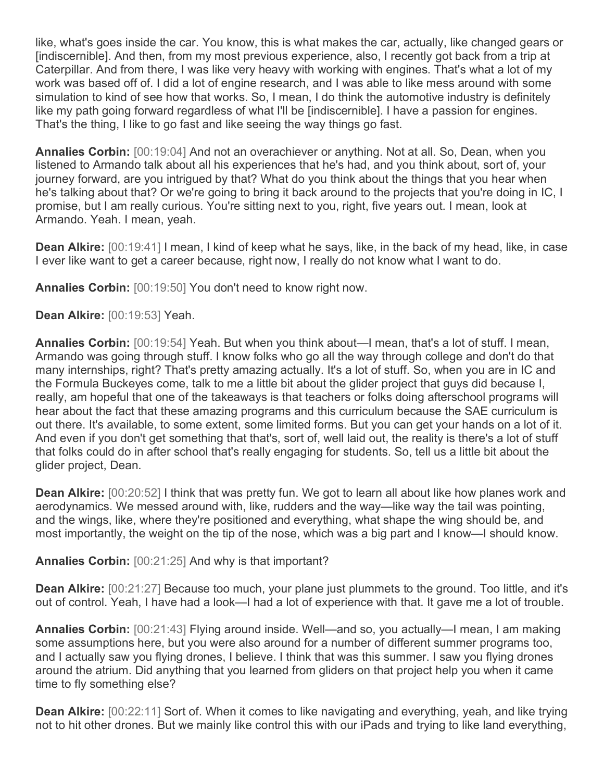like, what's goes inside the car. You know, this is what makes the car, actually, like changed gears or [indiscernible]. And then, from my most previous experience, also, I recently got back from a trip at Caterpillar. And from there, I was like very heavy with working with engines. That's what a lot of my work was based off of. I did a lot of engine research, and I was able to like mess around with some simulation to kind of see how that works. So, I mean, I do think the automotive industry is definitely like my path going forward regardless of what I'll be [indiscernible]. I have a passion for engines. That's the thing, I like to go fast and like seeing the way things go fast.

**Annalies Corbin:** [00:19:04] And not an overachiever or anything. Not at all. So, Dean, when you listened to Armando talk about all his experiences that he's had, and you think about, sort of, your journey forward, are you intrigued by that? What do you think about the things that you hear when he's talking about that? Or we're going to bring it back around to the projects that you're doing in IC, I promise, but I am really curious. You're sitting next to you, right, five years out. I mean, look at Armando. Yeah. I mean, yeah.

**Dean Alkire:** [00:19:41] I mean, I kind of keep what he says, like, in the back of my head, like, in case I ever like want to get a career because, right now, I really do not know what I want to do.

**Annalies Corbin:** [00:19:50] You don't need to know right now.

**Dean Alkire:** [00:19:53] Yeah.

**Annalies Corbin:** [00:19:54] Yeah. But when you think about—I mean, that's a lot of stuff. I mean, Armando was going through stuff. I know folks who go all the way through college and don't do that many internships, right? That's pretty amazing actually. It's a lot of stuff. So, when you are in IC and the Formula Buckeyes come, talk to me a little bit about the glider project that guys did because I, really, am hopeful that one of the takeaways is that teachers or folks doing afterschool programs will hear about the fact that these amazing programs and this curriculum because the SAE curriculum is out there. It's available, to some extent, some limited forms. But you can get your hands on a lot of it. And even if you don't get something that that's, sort of, well laid out, the reality is there's a lot of stuff that folks could do in after school that's really engaging for students. So, tell us a little bit about the glider project, Dean.

**Dean Alkire:** [00:20:52] I think that was pretty fun. We got to learn all about like how planes work and aerodynamics. We messed around with, like, rudders and the way—like way the tail was pointing, and the wings, like, where they're positioned and everything, what shape the wing should be, and most importantly, the weight on the tip of the nose, which was a big part and I know—I should know.

**Annalies Corbin:** [00:21:25] And why is that important?

**Dean Alkire:** [00:21:27] Because too much, your plane just plummets to the ground. Too little, and it's out of control. Yeah, I have had a look—I had a lot of experience with that. It gave me a lot of trouble.

**Annalies Corbin:** [00:21:43] Flying around inside. Well—and so, you actually—I mean, I am making some assumptions here, but you were also around for a number of different summer programs too, and I actually saw you flying drones, I believe. I think that was this summer. I saw you flying drones around the atrium. Did anything that you learned from gliders on that project help you when it came time to fly something else?

**Dean Alkire:** [00:22:11] Sort of. When it comes to like navigating and everything, yeah, and like trying not to hit other drones. But we mainly like control this with our iPads and trying to like land everything,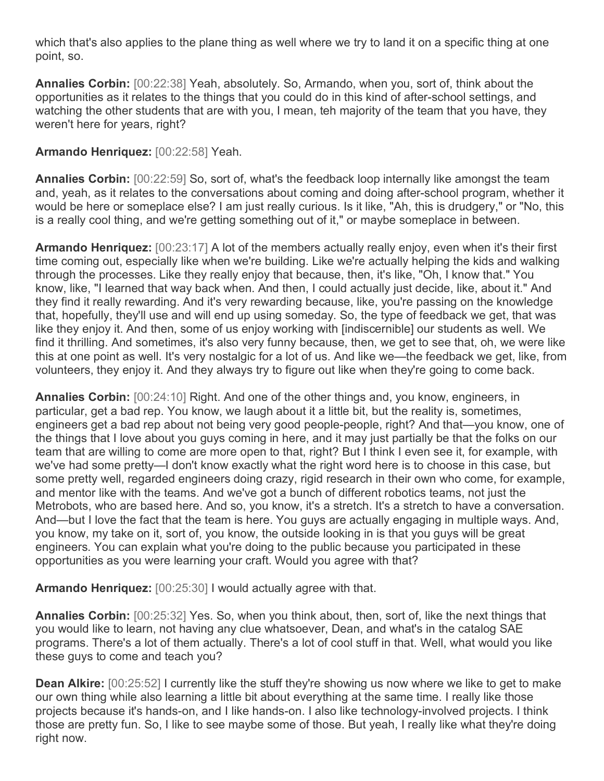which that's also applies to the plane thing as well where we try to land it on a specific thing at one point, so.

**Annalies Corbin:** [00:22:38] Yeah, absolutely. So, Armando, when you, sort of, think about the opportunities as it relates to the things that you could do in this kind of after-school settings, and watching the other students that are with you, I mean, teh majority of the team that you have, they weren't here for years, right?

## **Armando Henriquez:** [00:22:58] Yeah.

**Annalies Corbin:** [00:22:59] So, sort of, what's the feedback loop internally like amongst the team and, yeah, as it relates to the conversations about coming and doing after-school program, whether it would be here or someplace else? I am just really curious. Is it like, "Ah, this is drudgery," or "No, this is a really cool thing, and we're getting something out of it," or maybe someplace in between.

**Armando Henriquez:** [00:23:17] A lot of the members actually really enjoy, even when it's their first time coming out, especially like when we're building. Like we're actually helping the kids and walking through the processes. Like they really enjoy that because, then, it's like, "Oh, I know that." You know, like, "I learned that way back when. And then, I could actually just decide, like, about it." And they find it really rewarding. And it's very rewarding because, like, you're passing on the knowledge that, hopefully, they'll use and will end up using someday. So, the type of feedback we get, that was like they enjoy it. And then, some of us enjoy working with [indiscernible] our students as well. We find it thrilling. And sometimes, it's also very funny because, then, we get to see that, oh, we were like this at one point as well. It's very nostalgic for a lot of us. And like we—the feedback we get, like, from volunteers, they enjoy it. And they always try to figure out like when they're going to come back.

**Annalies Corbin:** [00:24:10] Right. And one of the other things and, you know, engineers, in particular, get a bad rep. You know, we laugh about it a little bit, but the reality is, sometimes, engineers get a bad rep about not being very good people-people, right? And that—you know, one of the things that I love about you guys coming in here, and it may just partially be that the folks on our team that are willing to come are more open to that, right? But I think I even see it, for example, with we've had some pretty—I don't know exactly what the right word here is to choose in this case, but some pretty well, regarded engineers doing crazy, rigid research in their own who come, for example, and mentor like with the teams. And we've got a bunch of different robotics teams, not just the Metrobots, who are based here. And so, you know, it's a stretch. It's a stretch to have a conversation. And—but I love the fact that the team is here. You guys are actually engaging in multiple ways. And, you know, my take on it, sort of, you know, the outside looking in is that you guys will be great engineers. You can explain what you're doing to the public because you participated in these opportunities as you were learning your craft. Would you agree with that?

**Armando Henriquez:** [00:25:30] I would actually agree with that.

**Annalies Corbin:** [00:25:32] Yes. So, when you think about, then, sort of, like the next things that you would like to learn, not having any clue whatsoever, Dean, and what's in the catalog SAE programs. There's a lot of them actually. There's a lot of cool stuff in that. Well, what would you like these guys to come and teach you?

**Dean Alkire:** [00:25:52] I currently like the stuff they're showing us now where we like to get to make our own thing while also learning a little bit about everything at the same time. I really like those projects because it's hands-on, and I like hands-on. I also like technology-involved projects. I think those are pretty fun. So, I like to see maybe some of those. But yeah, I really like what they're doing right now.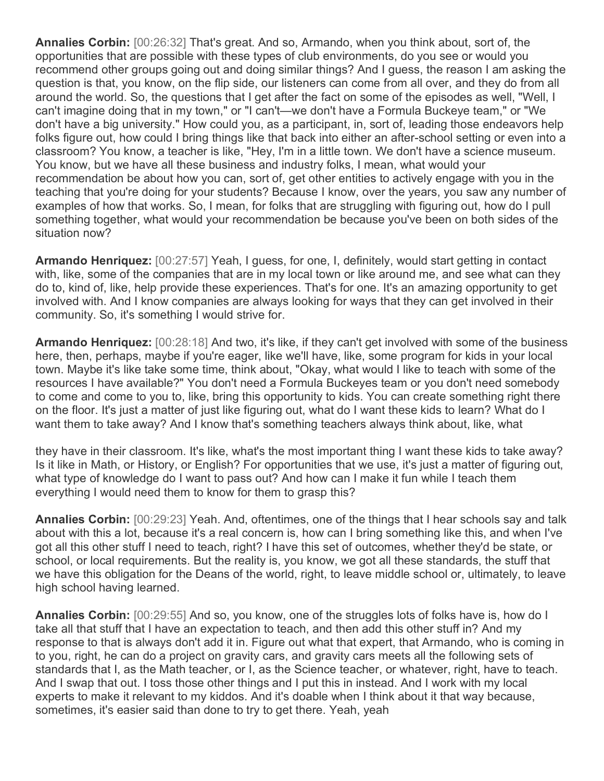**Annalies Corbin:** [00:26:32] That's great. And so, Armando, when you think about, sort of, the opportunities that are possible with these types of club environments, do you see or would you recommend other groups going out and doing similar things? And I guess, the reason I am asking the question is that, you know, on the flip side, our listeners can come from all over, and they do from all around the world. So, the questions that I get after the fact on some of the episodes as well, "Well, I can't imagine doing that in my town," or "I can't—we don't have a Formula Buckeye team," or "We don't have a big university." How could you, as a participant, in, sort of, leading those endeavors help folks figure out, how could I bring things like that back into either an after-school setting or even into a classroom? You know, a teacher is like, "Hey, I'm in a little town. We don't have a science museum. You know, but we have all these business and industry folks, I mean, what would your recommendation be about how you can, sort of, get other entities to actively engage with you in the teaching that you're doing for your students? Because I know, over the years, you saw any number of examples of how that works. So, I mean, for folks that are struggling with figuring out, how do I pull something together, what would your recommendation be because you've been on both sides of the situation now?

**Armando Henriquez:** [00:27:57] Yeah, I guess, for one, I, definitely, would start getting in contact with, like, some of the companies that are in my local town or like around me, and see what can they do to, kind of, like, help provide these experiences. That's for one. It's an amazing opportunity to get involved with. And I know companies are always looking for ways that they can get involved in their community. So, it's something I would strive for.

**Armando Henriquez:** [00:28:18] And two, it's like, if they can't get involved with some of the business here, then, perhaps, maybe if you're eager, like we'll have, like, some program for kids in your local town. Maybe it's like take some time, think about, "Okay, what would I like to teach with some of the resources I have available?" You don't need a Formula Buckeyes team or you don't need somebody to come and come to you to, like, bring this opportunity to kids. You can create something right there on the floor. It's just a matter of just like figuring out, what do I want these kids to learn? What do I want them to take away? And I know that's something teachers always think about, like, what

they have in their classroom. It's like, what's the most important thing I want these kids to take away? Is it like in Math, or History, or English? For opportunities that we use, it's just a matter of figuring out, what type of knowledge do I want to pass out? And how can I make it fun while I teach them everything I would need them to know for them to grasp this?

**Annalies Corbin:** [00:29:23] Yeah. And, oftentimes, one of the things that I hear schools say and talk about with this a lot, because it's a real concern is, how can I bring something like this, and when I've got all this other stuff I need to teach, right? I have this set of outcomes, whether they'd be state, or school, or local requirements. But the reality is, you know, we got all these standards, the stuff that we have this obligation for the Deans of the world, right, to leave middle school or, ultimately, to leave high school having learned.

**Annalies Corbin:** [00:29:55] And so, you know, one of the struggles lots of folks have is, how do I take all that stuff that I have an expectation to teach, and then add this other stuff in? And my response to that is always don't add it in. Figure out what that expert, that Armando, who is coming in to you, right, he can do a project on gravity cars, and gravity cars meets all the following sets of standards that I, as the Math teacher, or I, as the Science teacher, or whatever, right, have to teach. And I swap that out. I toss those other things and I put this in instead. And I work with my local experts to make it relevant to my kiddos. And it's doable when I think about it that way because, sometimes, it's easier said than done to try to get there. Yeah, yeah